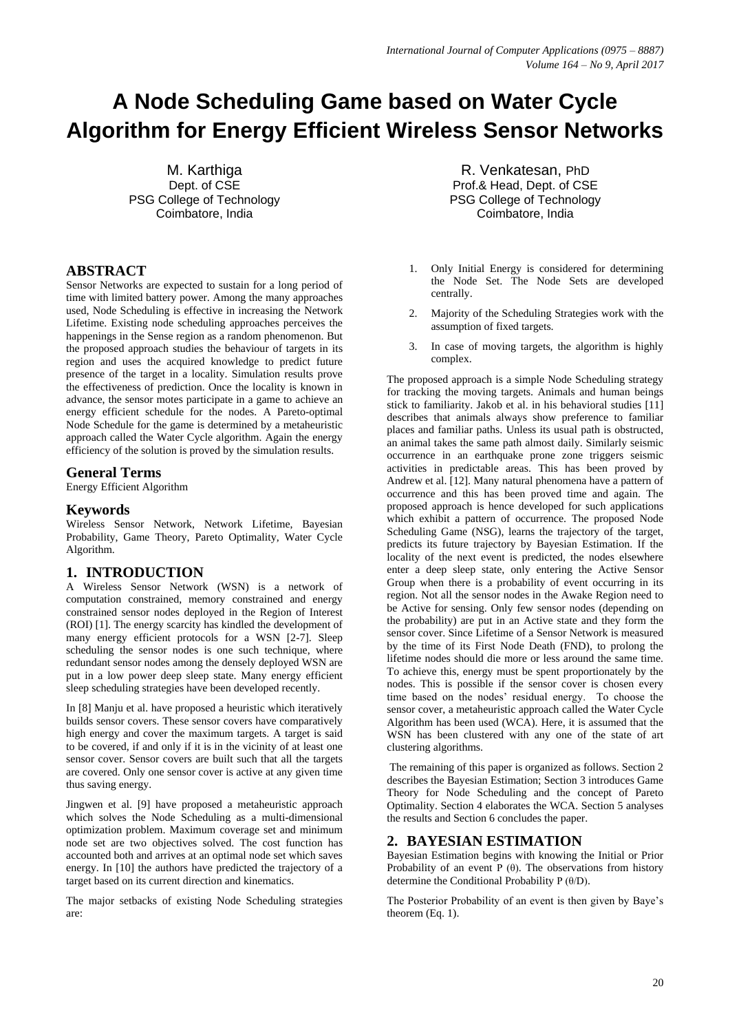# **A Node Scheduling Game based on Water Cycle Algorithm for Energy Efficient Wireless Sensor Networks**

M. Karthiga Dept. of CSE PSG College of Technology Coimbatore, India

# **ABSTRACT**

Sensor Networks are expected to sustain for a long period of time with limited battery power. Among the many approaches used, Node Scheduling is effective in increasing the Network Lifetime. Existing node scheduling approaches perceives the happenings in the Sense region as a random phenomenon. But the proposed approach studies the behaviour of targets in its region and uses the acquired knowledge to predict future presence of the target in a locality. Simulation results prove the effectiveness of prediction. Once the locality is known in advance, the sensor motes participate in a game to achieve an energy efficient schedule for the nodes. A Pareto-optimal Node Schedule for the game is determined by a metaheuristic approach called the Water Cycle algorithm. Again the energy efficiency of the solution is proved by the simulation results.

#### **General Terms**

Energy Efficient Algorithm

## **Keywords**

Wireless Sensor Network, Network Lifetime, Bayesian Probability, Game Theory, Pareto Optimality, Water Cycle Algorithm.

# **1. INTRODUCTION**

A Wireless Sensor Network (WSN) is a network of computation constrained, memory constrained and energy constrained sensor nodes deployed in the Region of Interest (ROI) [1]. The energy scarcity has kindled the development of many energy efficient protocols for a WSN [2-7]. Sleep scheduling the sensor nodes is one such technique, where redundant sensor nodes among the densely deployed WSN are put in a low power deep sleep state. Many energy efficient sleep scheduling strategies have been developed recently.

In [8] Manju et al. have proposed a heuristic which iteratively builds sensor covers. These sensor covers have comparatively high energy and cover the maximum targets. A target is said to be covered, if and only if it is in the vicinity of at least one sensor cover. Sensor covers are built such that all the targets are covered. Only one sensor cover is active at any given time thus saving energy.

Jingwen et al. [9] have proposed a metaheuristic approach which solves the Node Scheduling as a multi-dimensional optimization problem. Maximum coverage set and minimum node set are two objectives solved. The cost function has accounted both and arrives at an optimal node set which saves energy. In [10] the authors have predicted the trajectory of a target based on its current direction and kinematics.

The major setbacks of existing Node Scheduling strategies are:

R. Venkatesan, PhD Prof.& Head, Dept. of CSE PSG College of Technology Coimbatore, India

- 1. Only Initial Energy is considered for determining the Node Set. The Node Sets are developed centrally.
- 2. Majority of the Scheduling Strategies work with the assumption of fixed targets.
- 3. In case of moving targets, the algorithm is highly complex.

The proposed approach is a simple Node Scheduling strategy for tracking the moving targets. Animals and human beings stick to familiarity. Jakob et al. in his behavioral studies [11] describes that animals always show preference to familiar places and familiar paths. Unless its usual path is obstructed, an animal takes the same path almost daily. Similarly seismic occurrence in an earthquake prone zone triggers seismic activities in predictable areas. This has been proved by Andrew et al. [12]. Many natural phenomena have a pattern of occurrence and this has been proved time and again. The proposed approach is hence developed for such applications which exhibit a pattern of occurrence. The proposed Node Scheduling Game (NSG), learns the trajectory of the target, predicts its future trajectory by Bayesian Estimation. If the locality of the next event is predicted, the nodes elsewhere enter a deep sleep state, only entering the Active Sensor Group when there is a probability of event occurring in its region. Not all the sensor nodes in the Awake Region need to be Active for sensing. Only few sensor nodes (depending on the probability) are put in an Active state and they form the sensor cover. Since Lifetime of a Sensor Network is measured by the time of its First Node Death (FND), to prolong the lifetime nodes should die more or less around the same time. To achieve this, energy must be spent proportionately by the nodes. This is possible if the sensor cover is chosen every time based on the nodes' residual energy. To choose the sensor cover, a metaheuristic approach called the Water Cycle Algorithm has been used (WCA). Here, it is assumed that the WSN has been clustered with any one of the state of art clustering algorithms.

The remaining of this paper is organized as follows. Section 2 describes the Bayesian Estimation; Section 3 introduces Game Theory for Node Scheduling and the concept of Pareto Optimality. Section 4 elaborates the WCA. Section 5 analyses the results and Section 6 concludes the paper.

## **2. BAYESIAN ESTIMATION**

Bayesian Estimation begins with knowing the Initial or Prior Probability of an event P  $(\theta)$ . The observations from history determine the Conditional Probability P (θ/D).

The Posterior Probability of an event is then given by Baye's theorem (Eq. 1).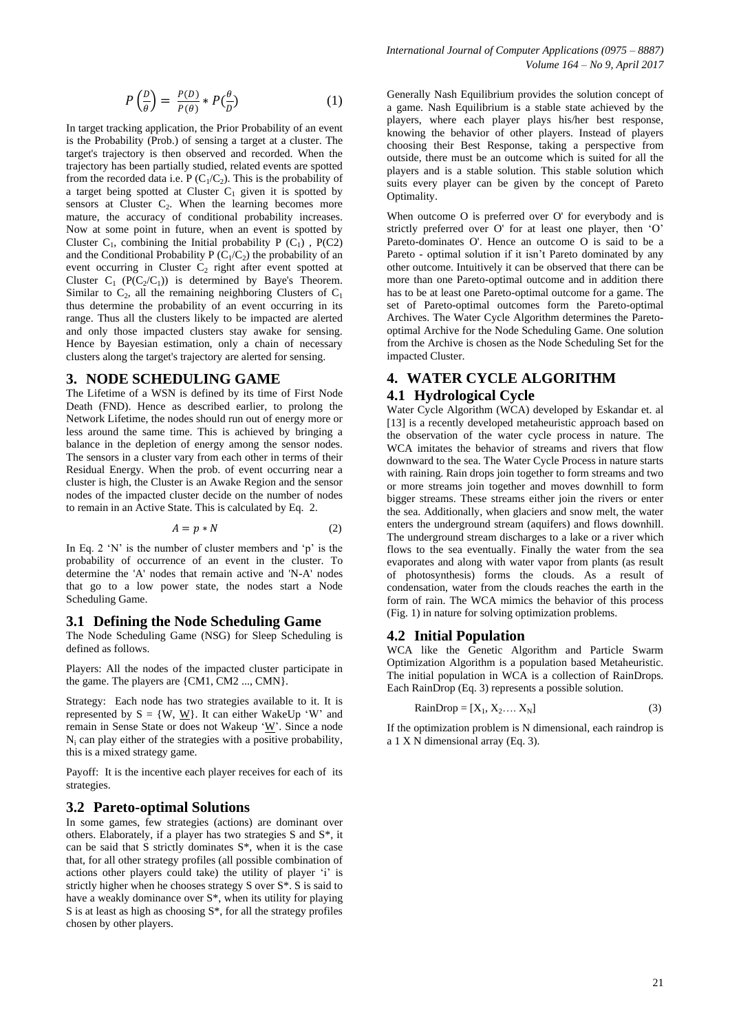$$
P\left(\frac{D}{\theta}\right) = \frac{P(D)}{P(\theta)} * P\left(\frac{\theta}{D}\right) \tag{1}
$$

In target tracking application, the Prior Probability of an event is the Probability (Prob.) of sensing a target at a cluster. The target's trajectory is then observed and recorded. When the trajectory has been partially studied, related events are spotted from the recorded data i.e. P  $(C_1/C_2)$ . This is the probability of a target being spotted at Cluster  $C_1$  given it is spotted by sensors at Cluster  $C_2$ . When the learning becomes more mature, the accuracy of conditional probability increases. Now at some point in future, when an event is spotted by Cluster  $C_1$ , combining the Initial probability P  $(C_1)$ , P $(C_2)$ and the Conditional Probability P  $(C_1/C_2)$  the probability of an event occurring in Cluster  $C_2$  right after event spotted at Cluster  $C_1$  (P( $C_2/C_1$ )) is determined by Baye's Theorem. Similar to  $C_2$ , all the remaining neighboring Clusters of  $C_1$ thus determine the probability of an event occurring in its range. Thus all the clusters likely to be impacted are alerted and only those impacted clusters stay awake for sensing. Hence by Bayesian estimation, only a chain of necessary clusters along the target's trajectory are alerted for sensing.

#### **3. NODE SCHEDULING GAME**

The Lifetime of a WSN is defined by its time of First Node Death (FND). Hence as described earlier, to prolong the Network Lifetime, the nodes should run out of energy more or less around the same time. This is achieved by bringing a balance in the depletion of energy among the sensor nodes. The sensors in a cluster vary from each other in terms of their Residual Energy. When the prob. of event occurring near a cluster is high, the Cluster is an Awake Region and the sensor nodes of the impacted cluster decide on the number of nodes to remain in an Active State. This is calculated by Eq. 2.

$$
A = p * N \tag{2}
$$

In Eq. 2  $\gamma$  is the number of cluster members and  $\gamma$  is the probability of occurrence of an event in the cluster. To determine the 'A' nodes that remain active and 'N-A' nodes that go to a low power state, the nodes start a Node Scheduling Game.

#### **3.1 Defining the Node Scheduling Game**

The Node Scheduling Game (NSG) for Sleep Scheduling is defined as follows.

Players: All the nodes of the impacted cluster participate in the game. The players are {CM1, CM2 ..., CMN}.

Strategy: Each node has two strategies available to it. It is represented by  $S = \{W, W\}$ . It can either WakeUp 'W' and remain in Sense State or does not Wakeup 'W'. Since a node  $N_i$  can play either of the strategies with a positive probability, this is a mixed strategy game.

Payoff: It is the incentive each player receives for each of its strategies.

#### **3.2 Pareto-optimal Solutions**

In some games, few strategies (actions) are dominant over others. Elaborately, if a player has two strategies S and S\*, it can be said that S strictly dominates S\*, when it is the case that, for all other strategy profiles (all possible combination of actions other players could take) the utility of player 'i' is strictly higher when he chooses strategy S over S\*. S is said to have a weakly dominance over S\*, when its utility for playing S is at least as high as choosing  $S^*$ , for all the strategy profiles chosen by other players.

*International Journal of Computer Applications (0975 – 8887) Volume 164 – No 9, April 2017*

Generally Nash Equilibrium provides the solution concept of a game. Nash Equilibrium is a stable state achieved by the players, where each player plays his/her best response, knowing the behavior of other players. Instead of players choosing their Best Response, taking a perspective from outside, there must be an outcome which is suited for all the players and is a stable solution. This stable solution which suits every player can be given by the concept of Pareto Optimality.

When outcome O is preferred over O' for everybody and is strictly preferred over O' for at least one player, then 'O' Pareto-dominates O'. Hence an outcome O is said to be a Pareto - optimal solution if it isn't Pareto dominated by any other outcome. Intuitively it can be observed that there can be more than one Pareto-optimal outcome and in addition there has to be at least one Pareto-optimal outcome for a game. The set of Pareto-optimal outcomes form the Pareto-optimal Archives. The Water Cycle Algorithm determines the Paretooptimal Archive for the Node Scheduling Game. One solution from the Archive is chosen as the Node Scheduling Set for the impacted Cluster.

# **4. WATER CYCLE ALGORITHM 4.1 Hydrological Cycle**

Water Cycle Algorithm (WCA) developed by Eskandar et. al [13] is a recently developed metaheuristic approach based on the observation of the water cycle process in nature. The WCA imitates the behavior of streams and rivers that flow downward to the sea. The Water Cycle Process in nature starts with raining. Rain drops join together to form streams and two or more streams join together and moves downhill to form bigger streams. These streams either join the rivers or enter the sea. Additionally, when glaciers and snow melt, the water enters the underground stream (aquifers) and flows downhill. The underground stream discharges to a lake or a river which flows to the sea eventually. Finally the water from the sea evaporates and along with water vapor from plants (as result of photosynthesis) forms the clouds. As a result of condensation, water from the clouds reaches the earth in the form of rain. The WCA mimics the behavior of this process (Fig. 1) in nature for solving optimization problems.

#### **4.2 Initial Population**

WCA like the Genetic Algorithm and Particle Swarm Optimization Algorithm is a population based Metaheuristic. The initial population in WCA is a collection of RainDrops. Each RainDrop (Eq. 3) represents a possible solution.

$$
RainDrop = [X_1, X_2, ..., X_N]
$$
 (3)

If the optimization problem is N dimensional, each raindrop is a 1 X N dimensional array (Eq. 3).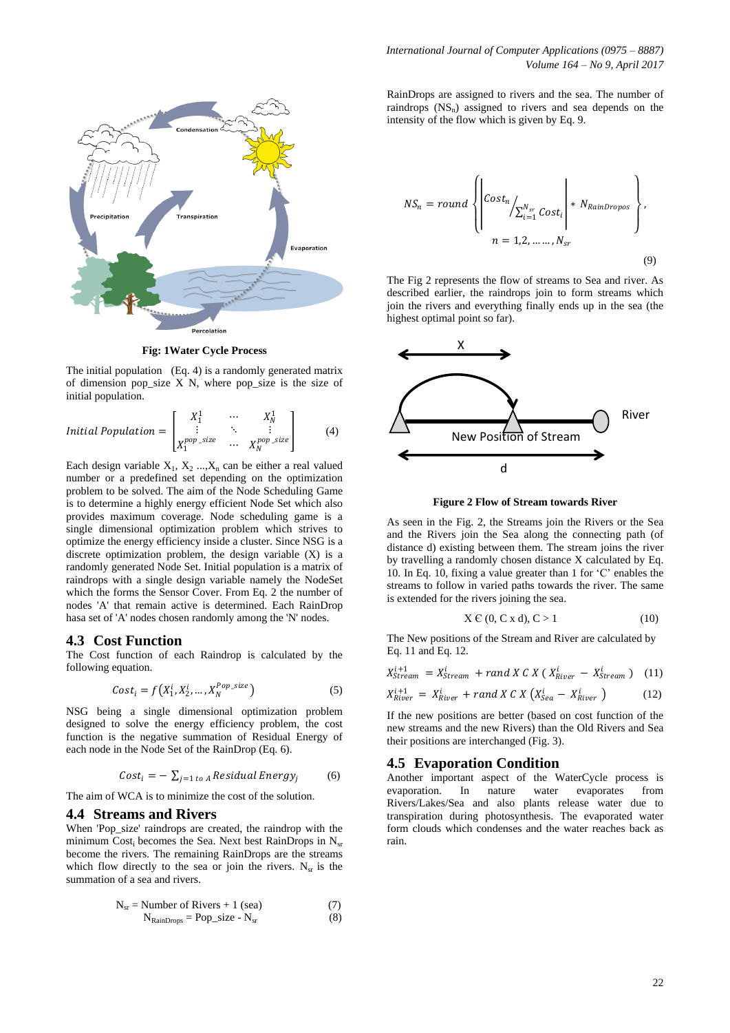

**Fig: 1Water Cycle Process**

The initial population (Eq. 4) is a randomly generated matrix of dimension pop\_size  $X$  N, where pop\_size is the size of initial population.

$$
Initial Population = \begin{bmatrix} X_1^1 & \cdots & X_N^1 \\ \vdots & \ddots & \vdots \\ X_1^{pop\_size} & \cdots & X_N^{pop\_size} \end{bmatrix}
$$
 (4)

Each design variable  $X_1, X_2, ..., X_n$  can be either a real valued number or a predefined set depending on the optimization problem to be solved. The aim of the Node Scheduling Game is to determine a highly energy efficient Node Set which also provides maximum coverage. Node scheduling game is a single dimensional optimization problem which strives to optimize the energy efficiency inside a cluster. Since NSG is a discrete optimization problem, the design variable (X) is a randomly generated Node Set. Initial population is a matrix of raindrops with a single design variable namely the NodeSet which the forms the Sensor Cover. From Eq. 2 the number of nodes 'A' that remain active is determined. Each RainDrop hasa set of 'A' nodes chosen randomly among the 'N' nodes.

# **4.3 Cost Function**

The Cost function of each Raindrop is calculated by the following equation.

$$
Cost_i = f(X_1^i, X_2^i, \dots, X_N^{Pop\_size})
$$
\n<sup>(5)</sup>

NSG being a single dimensional optimization problem designed to solve the energy efficiency problem, the cost function is the negative summation of Residual Energy of each node in the Node Set of the RainDrop (Eq. 6).

$$
Cost_i = -\sum_{j=1 \text{ to } A} Residual \, Energy_j \tag{6}
$$

The aim of WCA is to minimize the cost of the solution.

# **4.4 Streams and Rivers**

When 'Pop\_size' raindrops are created, the raindrop with the minimum Cost<sub>i</sub> becomes the Sea. Next best RainDrops in N<sub>sr</sub> become the rivers. The remaining RainDrops are the streams which flow directly to the sea or join the rivers.  $N_{sr}$  is the summation of a sea and rivers.

$$
N_{sr} = Number of Rivers + 1 (sea)
$$
  
\n
$$
N_{RainDrops} = Pop\_size - N_{sr}
$$
 (8)

RainDrops are assigned to rivers and the sea. The number of raindrops  $(NS_n)$  assigned to rivers and sea depends on the intensity of the flow which is given by Eq. 9.

$$
NS_n = round \left\{ \left| \begin{matrix} Cost_n \\ \sum_{i=1}^{N_{sr}} Cost_i \\ n = 1, 2, \dots, N_{sr} \end{matrix} \right| * N_{RainDropos} \right\},
$$
\n
$$
n = 1, 2, \dots, N_{sr}
$$
\n(9)

The Fig 2 represents the flow of streams to Sea and river. As described earlier, the raindrops join to form streams which join the rivers and everything finally ends up in the sea (the highest optimal point so far).



**Figure 2 Flow of Stream towards River**

As seen in the Fig. 2, the Streams join the Rivers or the Sea and the Rivers join the Sea along the connecting path (of distance d) existing between them. The stream joins the river by travelling a randomly chosen distance X calculated by Eq. 10. In Eq. 10, fixing a value greater than 1 for 'C' enables the streams to follow in varied paths towards the river. The same is extended for the rivers joining the sea.

$$
X \in (0, C \times d), C > 1 \tag{10}
$$

The New positions of the Stream and River are calculated by Eq. 11 and Eq. 12.

$$
X_{Stream}^{i+1} = X_{Stream}^{i} + rand X C X (X_{River}^{i} - X_{Stream}^{i})
$$
 (11)

$$
X_{River}^{i+1} = X_{River}^i + rand X C X (X_{Sea}^i - X_{River}^i)
$$
 (12)

If the new positions are better (based on cost function of the new streams and the new Rivers) than the Old Rivers and Sea their positions are interchanged (Fig. 3).

## **4.5 Evaporation Condition**

Another important aspect of the WaterCycle process is evaporation. In nature water evaporates from Rivers/Lakes/Sea and also plants release water due to transpiration during photosynthesis. The evaporated water form clouds which condenses and the water reaches back as rain.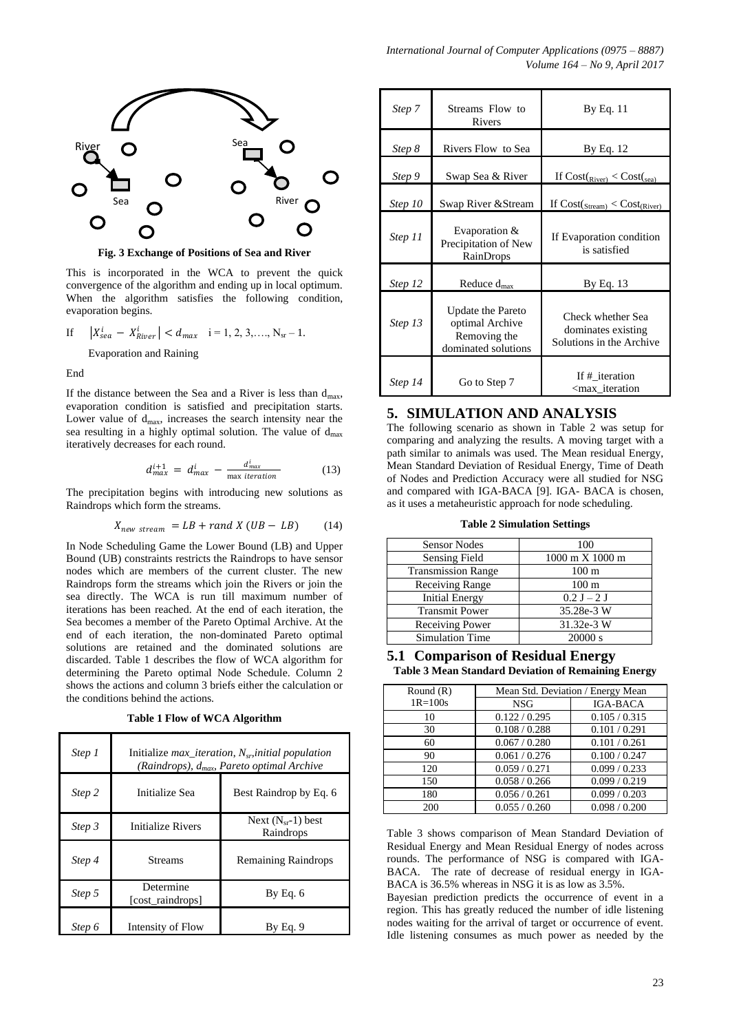

**Fig. 3 Exchange of Positions of Sea and River**

This is incorporated in the WCA to prevent the quick convergence of the algorithm and ending up in local optimum. When the algorithm satisfies the following condition, evaporation begins.

If 
$$
|X_{sea}^i - X_{River}^i| < d_{max}
$$
 i = 1, 2, 3, ..., N<sub>sr</sub> - 1.

Evaporation and Raining

End

If the distance between the Sea and a River is less than  $d_{max}$ , evaporation condition is satisfied and precipitation starts. Lower value of  $d_{\text{max}}$ , increases the search intensity near the sea resulting in a highly optimal solution. The value of  $d_{max}$ iteratively decreases for each round.

$$
d_{max}^{i+1} = d_{max}^i - \frac{d_{max}^i}{\max\ iteration} \tag{13}
$$

The precipitation begins with introducing new solutions as Raindrops which form the streams.

$$
X_{new\ stream} = LB + rand\ X\ (UB - LB) \tag{14}
$$

In Node Scheduling Game the Lower Bound (LB) and Upper Bound (UB) constraints restricts the Raindrops to have sensor nodes which are members of the current cluster. The new Raindrops form the streams which join the Rivers or join the sea directly. The WCA is run till maximum number of iterations has been reached. At the end of each iteration, the Sea becomes a member of the Pareto Optimal Archive. At the end of each iteration, the non-dominated Pareto optimal solutions are retained and the dominated solutions are discarded. Table 1 describes the flow of WCA algorithm for determining the Pareto optimal Node Schedule. Column 2 shows the actions and column 3 briefs either the calculation or the conditions behind the actions.

**Table 1 Flow of WCA Algorithm**

| Step 1 | Initialize <i>max iteration</i> , $N_{sn}$ <i>initial population</i><br>(Raindrops), d <sub>max</sub> , Pareto optimal Archive |                                     |
|--------|--------------------------------------------------------------------------------------------------------------------------------|-------------------------------------|
| Step 2 | Initialize Sea                                                                                                                 | Best Raindrop by Eq. 6              |
| Step 3 | Initialize Rivers                                                                                                              | Next $(N_{sr}-1)$ best<br>Raindrops |
| Step 4 | <b>Streams</b>                                                                                                                 | <b>Remaining Raindrops</b>          |
| Step 5 | Determine<br>[cost raindrops]                                                                                                  | By Eq. 6                            |
| Step 6 | Intensity of Flow                                                                                                              | By Ea. 9                            |

| Step 7  | Streams Flow to<br>Rivers                                                          | By Eq. 11                                                           |
|---------|------------------------------------------------------------------------------------|---------------------------------------------------------------------|
| Step 8  | Rivers Flow to Sea                                                                 | By Eq. 12                                                           |
| Step 9  | Swap Sea & River                                                                   | If $Cost(River) < Cost(sea)$                                        |
| Step 10 | Swap River & Stream                                                                | If $Cost(Stream) < Cost(River)$                                     |
| Step 11 | Evaporation &<br>Precipitation of New<br>RainDrops                                 | If Evaporation condition<br>is satisfied                            |
| Step 12 | Reduce $d_{max}$                                                                   | By Eq. 13                                                           |
| Step 13 | <b>Update the Pareto</b><br>optimal Archive<br>Removing the<br>dominated solutions | Check whether Sea<br>dominates existing<br>Solutions in the Archive |
| Step 14 | Go to Step 7                                                                       | If # iteration<br><max iteration<="" td=""></max>                   |

### **5. SIMULATION AND ANALYSIS**

The following scenario as shown in Table 2 was setup for comparing and analyzing the results. A moving target with a path similar to animals was used. The Mean residual Energy, Mean Standard Deviation of Residual Energy, Time of Death of Nodes and Prediction Accuracy were all studied for NSG and compared with IGA-BACA [9]. IGA- BACA is chosen, as it uses a metaheuristic approach for node scheduling.

**Table 2 Simulation Settings**

| <b>Sensor Nodes</b>       | 100              |
|---------------------------|------------------|
| Sensing Field             | 1000 m X 1000 m  |
| <b>Transmission Range</b> | $100 \text{ m}$  |
| <b>Receiving Range</b>    | 100 <sub>m</sub> |
| <b>Initial Energy</b>     | $0.2 J - 2 J$    |
| <b>Transmit Power</b>     | 35.28e-3 W       |
| Receiving Power           | 31.32e-3 W       |
| <b>Simulation Time</b>    | 20000 s          |

#### **5.1 Comparison of Residual Energy Table 3 Mean Standard Deviation of Remaining Energy**

| Round $(R)$ | Mean Std. Deviation / Energy Mean |                 |
|-------------|-----------------------------------|-----------------|
| $1R = 100s$ | <b>NSG</b>                        | <b>IGA-BACA</b> |
| 10          | 0.122 / 0.295                     | 0.105 / 0.315   |
| 30          | 0.108 / 0.288                     | 0.101 / 0.291   |
| 60          | 0.067 / 0.280                     | 0.101 / 0.261   |
| 90          | 0.061 / 0.276                     | 0.100 / 0.247   |
| 120         | 0.059/0.271                       | 0.099 / 0.233   |
| 150         | 0.058 / 0.266                     | 0.099 / 0.219   |
| 180         | 0.056 / 0.261                     | 0.099 / 0.203   |
| 200         | 0.055 / 0.260                     | 0.098 / 0.200   |

Table 3 shows comparison of Mean Standard Deviation of Residual Energy and Mean Residual Energy of nodes across rounds. The performance of NSG is compared with IGA-BACA. The rate of decrease of residual energy in IGA-BACA is 36.5% whereas in NSG it is as low as 3.5%.

Bayesian prediction predicts the occurrence of event in a region. This has greatly reduced the number of idle listening nodes waiting for the arrival of target or occurrence of event. Idle listening consumes as much power as needed by the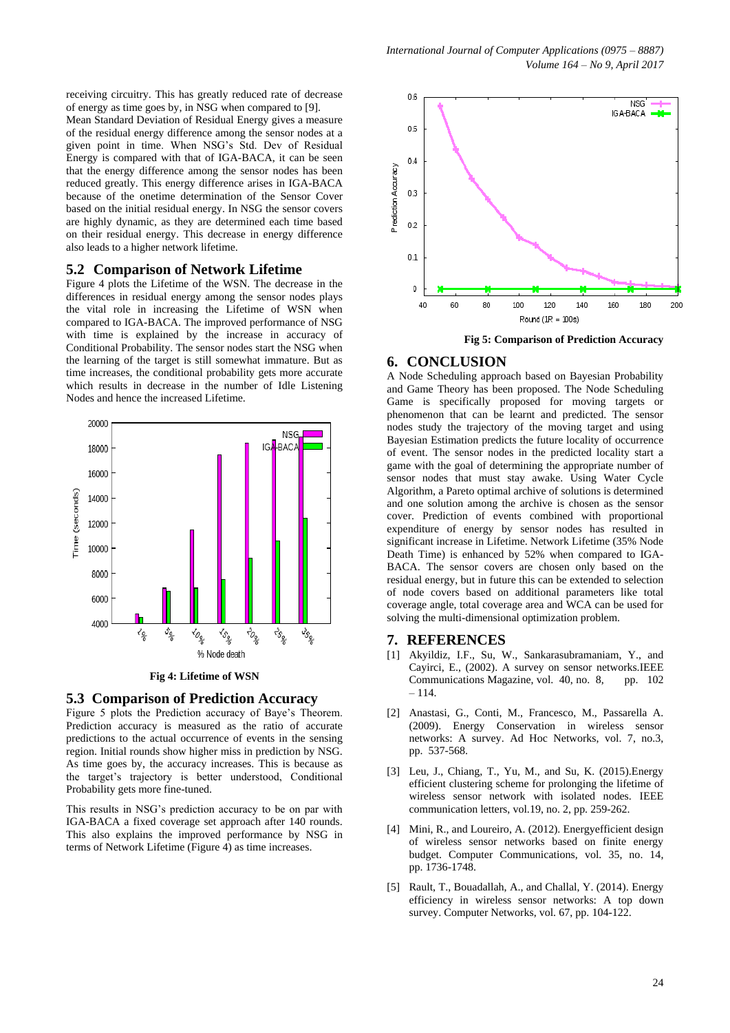receiving circuitry. This has greatly reduced rate of decrease of energy as time goes by, in NSG when compared to [9].

Mean Standard Deviation of Residual Energy gives a measure of the residual energy difference among the sensor nodes at a given point in time. When NSG's Std. Dev of Residual Energy is compared with that of IGA-BACA, it can be seen that the energy difference among the sensor nodes has been reduced greatly. This energy difference arises in IGA-BACA because of the onetime determination of the Sensor Cover based on the initial residual energy. In NSG the sensor covers are highly dynamic, as they are determined each time based on their residual energy. This decrease in energy difference also leads to a higher network lifetime.

## **5.2 Comparison of Network Lifetime**

Figure 4 plots the Lifetime of the WSN. The decrease in the differences in residual energy among the sensor nodes plays the vital role in increasing the Lifetime of WSN when compared to IGA-BACA. The improved performance of NSG with time is explained by the increase in accuracy of Conditional Probability. The sensor nodes start the NSG when the learning of the target is still somewhat immature. But as time increases, the conditional probability gets more accurate which results in decrease in the number of Idle Listening Nodes and hence the increased Lifetime.



**Fig 4: Lifetime of WSN**

#### **5.3 Comparison of Prediction Accuracy**

Figure 5 plots the Prediction accuracy of Baye's Theorem. Prediction accuracy is measured as the ratio of accurate predictions to the actual occurrence of events in the sensing region. Initial rounds show higher miss in prediction by NSG. As time goes by, the accuracy increases. This is because as the target's trajectory is better understood, Conditional Probability gets more fine-tuned.

This results in NSG's prediction accuracy to be on par with IGA-BACA a fixed coverage set approach after 140 rounds. This also explains the improved performance by NSG in terms of Network Lifetime (Figure 4) as time increases.



**Fig 5: Comparison of Prediction Accuracy**

#### **6. CONCLUSION**

A Node Scheduling approach based on Bayesian Probability and Game Theory has been proposed. The Node Scheduling Game is specifically proposed for moving targets or phenomenon that can be learnt and predicted. The sensor nodes study the trajectory of the moving target and using Bayesian Estimation predicts the future locality of occurrence of event. The sensor nodes in the predicted locality start a game with the goal of determining the appropriate number of sensor nodes that must stay awake. Using Water Cycle Algorithm, a Pareto optimal archive of solutions is determined and one solution among the archive is chosen as the sensor cover. Prediction of events combined with proportional expenditure of energy by sensor nodes has resulted in significant increase in Lifetime. Network Lifetime (35% Node Death Time) is enhanced by 52% when compared to IGA-BACA. The sensor covers are chosen only based on the residual energy, but in future this can be extended to selection of node covers based on additional parameters like total coverage angle, total coverage area and WCA can be used for solving the multi-dimensional optimization problem.

#### **7. REFERENCES**

- [1] Akyildiz, I.F., Su, W., Sankarasubramaniam, Y., and Cayirci, E., (2002). A survey on sensor networks.IEEE Communications Magazine, vol. 40, no. 8, pp. 102 – 114.
- [2] Anastasi, G., Conti, M., Francesco, M., Passarella A. (2009). Energy Conservation in wireless sensor networks: A survey. Ad Hoc Networks, vol. 7, no.3, pp. 537-568.
- [3] Leu, J., Chiang, T., Yu, M., and Su, K. (2015).Energy efficient clustering scheme for prolonging the lifetime of wireless sensor network with isolated nodes. IEEE communication letters, vol.19, no. 2, pp. 259-262.
- [4] Mini, R., and Loureiro, A. (2012). Energyefficient design of wireless sensor networks based on finite energy budget. Computer Communications, vol. 35, no. 14, pp. 1736-1748.
- [5] Rault, T., Bouadallah, A., and Challal, Y. (2014). Energy efficiency in wireless sensor networks: A top down survey. Computer Networks, vol. 67, pp. 104-122.